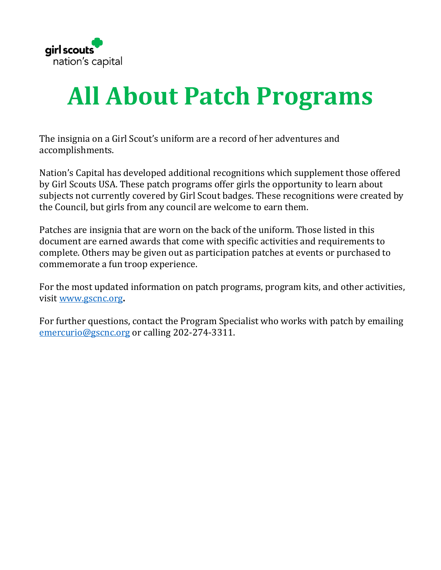

## **All About Patch Programs**

The insignia on a Girl Scout's uniform are a record of her adventures and accomplishments.

Nation's Capital has developed additional recognitions which supplement those offered by Girl Scouts USA. These patch programs offer girls the opportunity to learn about subjects not currently covered by Girl Scout badges. These recognitions were created by the Council, but girls from any council are welcome to earn them.

Patches are insignia that are worn on the back of the uniform. Those listed in this document are earned awards that come with specific activities and requirements to complete. Others may be given out as participation patches at events or purchased to commemorate a fun troop experience.

For the most updated information on patch programs, program kits, and other activities, visit [www.gscnc.org](http://www.gscnc.org/)**.**

For further questions, contact the Program Specialist who works with patch by emailing [emercurio@gscnc.org](mailto:emercurio@gscnc.org) or calling 202-274-3311.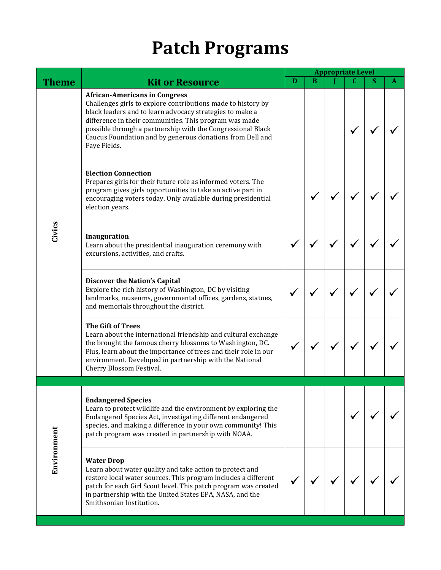## **Patch Programs**

|             |                                                                                                                                                                                                                                                                                                                                                                        | <b>Appropriate Level</b> |   |  |   |   |   |
|-------------|------------------------------------------------------------------------------------------------------------------------------------------------------------------------------------------------------------------------------------------------------------------------------------------------------------------------------------------------------------------------|--------------------------|---|--|---|---|---|
| Theme       | <b>Kit or Resource</b>                                                                                                                                                                                                                                                                                                                                                 | D                        | B |  | C | S | A |
|             | <b>African-Americans in Congress</b><br>Challenges girls to explore contributions made to history by<br>black leaders and to learn advocacy strategies to make a<br>difference in their communities. This program was made<br>possible through a partnership with the Congressional Black<br>Caucus Foundation and by generous donations from Dell and<br>Faye Fields. |                          |   |  |   |   |   |
|             | <b>Election Connection</b><br>Prepares girls for their future role as informed voters. The<br>program gives girls opportunities to take an active part in<br>encouraging voters today. Only available during presidential<br>election years.                                                                                                                           |                          |   |  |   |   |   |
| Civics      | Inauguration<br>Learn about the presidential inauguration ceremony with<br>excursions, activities, and crafts.                                                                                                                                                                                                                                                         |                          |   |  |   |   |   |
|             | <b>Discover the Nation's Capital</b><br>Explore the rich history of Washington, DC by visiting<br>landmarks, museums, governmental offices, gardens, statues,<br>and memorials throughout the district.                                                                                                                                                                |                          |   |  |   |   |   |
|             | <b>The Gift of Trees</b><br>Learn about the international friendship and cultural exchange<br>the brought the famous cherry blossoms to Washington, DC.<br>Plus, learn about the importance of trees and their role in our<br>environment. Developed in partnership with the National<br>Cherry Blossom Festival.                                                      |                          |   |  |   |   |   |
|             |                                                                                                                                                                                                                                                                                                                                                                        |                          |   |  |   |   |   |
|             | <b>Endangered Species</b><br>Learn to protect wildlife and the environment by exploring the<br>Endangered Species Act, investigating different endangered<br>species, and making a difference in your own community! This<br>patch program was created in partnership with NOAA.                                                                                       |                          |   |  |   |   |   |
| Environment | <b>Water Drop</b><br>Learn about water quality and take action to protect and<br>restore local water sources. This program includes a different<br>patch for each Girl Scout level. This patch program was created<br>in partnership with the United States EPA, NASA, and the<br>Smithsonian Institution.                                                             |                          |   |  |   |   |   |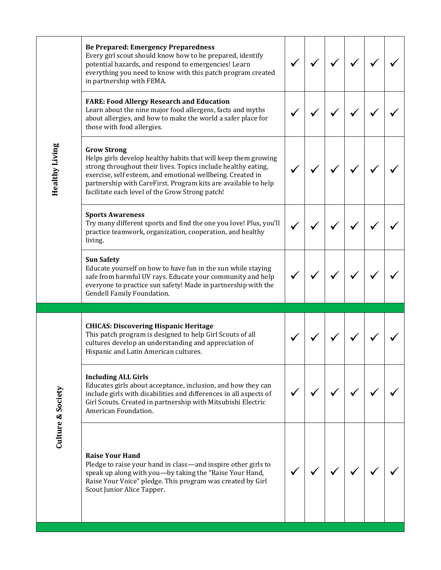| <b>Be Prepared: Emergency Preparedness</b><br>Every girl scout should know how to be prepared, identify<br>potential hazards, and respond to emergencies! Learn<br>everything you need to know with this patch program created<br>in partnership with FEMA.                                                                              |  |  |  |
|------------------------------------------------------------------------------------------------------------------------------------------------------------------------------------------------------------------------------------------------------------------------------------------------------------------------------------------|--|--|--|
| <b>FARE: Food Allergy Research and Education</b><br>Learn about the nine major food allergens, facts and myths<br>about allergies, and how to make the world a safer place for<br>those with food allergies.                                                                                                                             |  |  |  |
| <b>Grow Strong</b><br>Helps girls develop healthy habits that will keep them growing<br>strong throughout their lives. Topics include healthy eating,<br>exercise, self esteem, and emotional wellbeing. Created in<br>partnership with CareFirst. Program kits are available to help<br>facilitate each level of the Grow Strong patch! |  |  |  |
| <b>Sports Awareness</b><br>Try many different sports and find the one you love! Plus, you'll<br>practice teamwork, organization, cooperation, and healthy<br>living.                                                                                                                                                                     |  |  |  |
| <b>Sun Safety</b><br>Educate yourself on how to have fun in the sun while staying<br>safe from harmful UV rays. Educate your community and help                                                                                                                                                                                          |  |  |  |
| everyone to practice sun safety! Made in partnership with the<br>Gendell Family Foundation.                                                                                                                                                                                                                                              |  |  |  |
|                                                                                                                                                                                                                                                                                                                                          |  |  |  |
| <b>CHICAS: Discovering Hispanic Heritage</b><br>This patch program is designed to help Girl Scouts of all<br>cultures develop an understanding and appreciation of<br>Hispanic and Latin American cultures.                                                                                                                              |  |  |  |
| <b>Including ALL Girls</b><br>Educates girls about acceptance, inclusion, and how they can<br>include girls with disabilities and differences in all aspects of<br>Girl Scouts. Created in partnership with Mitsubishi Electric<br>American Foundation.                                                                                  |  |  |  |